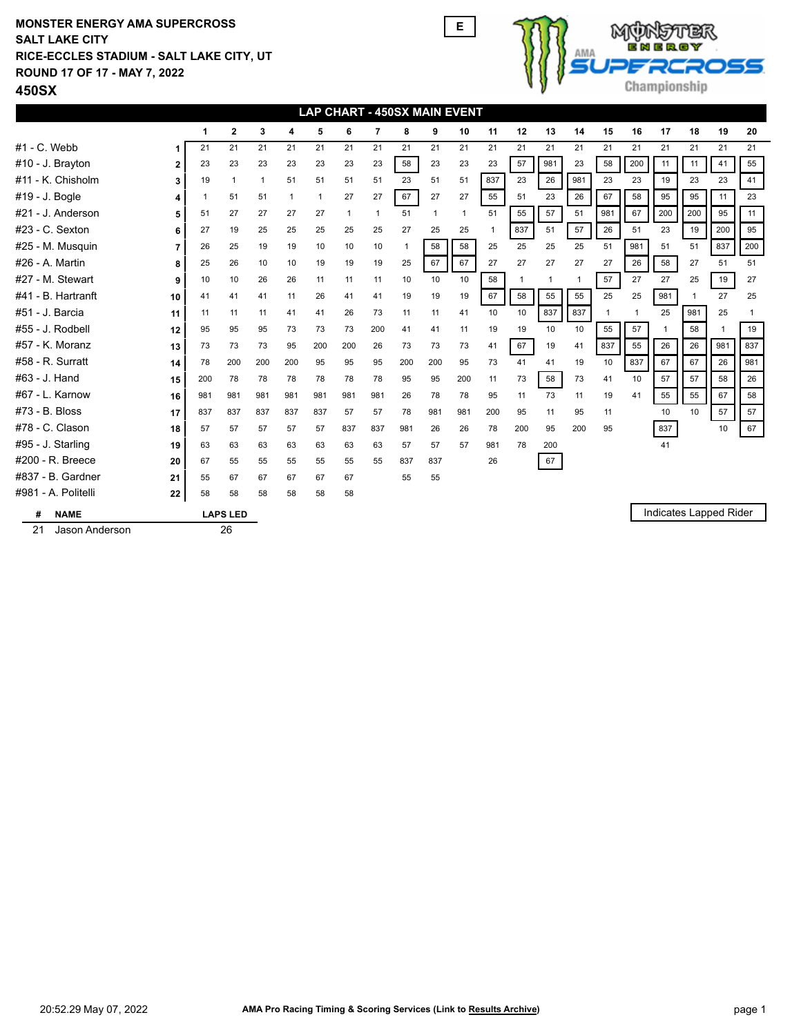## **ROUND 17 OF 17 - MAY 7, 2022 RICE-ECCLES STADIUM - SALT LAKE CITY, UT SALT LAKE CITY MONSTER ENERGY AMA SUPERCROSS E**





| <b>LAP CHART - 450SX MAIN EVENT</b> |     |                         |              |              |              |              |     |     |     |              |                |              |              |              |     |     |                        |     |              |     |
|-------------------------------------|-----|-------------------------|--------------|--------------|--------------|--------------|-----|-----|-----|--------------|----------------|--------------|--------------|--------------|-----|-----|------------------------|-----|--------------|-----|
|                                     | 1   | $\mathbf{2}$            | 3            | 4            | 5            | 6            | 7   | 8   | 9   | 10           | 11             | 12           | 13           | 14           | 15  | 16  | 17                     | 18  | 19           | 20  |
| #1 - C. Webb                        | 21  | 21                      | 21           | 21           | 21           | 21           | 21  | 21  | 21  | 21           | 21             | 21           | 21           | 21           | 21  | 21  | 21                     | 21  | 21           | 21  |
| #10 - J. Brayton<br>$\mathbf{2}$    | 23  | 23                      | 23           | 23           | 23           | 23           | 23  | 58  | 23  | 23           | 23             | 57           | 981          | 23           | 58  | 200 | 11                     | 11  | 41           | 55  |
| #11 - K. Chisholm<br>3              | 19  | $\overline{\mathbf{1}}$ | $\mathbf{1}$ | 51           | 51           | 51           | 51  | 23  | 51  | 51           | 837            | 23           | 26           | 981          | 23  | 23  | 19                     | 23  | 23           | 41  |
| #19 - J. Bogle                      |     | 51                      | 51           | $\mathbf{1}$ | $\mathbf{1}$ | 27           | 27  | 67  | 27  | 27           | 55             | 51           | 23           | 26           | 67  | 58  | 95                     | 95  | 11           | 23  |
| #21 - J. Anderson<br>5              | 51  | 27                      | 27           | 27           | 27           | $\mathbf{1}$ | 1   | 51  | 1   | $\mathbf{1}$ | 51             | 55           | 57           | 51           | 981 | 67  | 200                    | 200 | 95           | 11  |
| #23 - C. Sexton<br>6                | 27  | 19                      | 25           | 25           | 25           | 25           | 25  | 27  | 25  | 25           | $\overline{1}$ | 837          | 51           | 57           | 26  | 51  | 23                     | 19  | 200          | 95  |
| #25 - M. Musquin<br>7               | 26  | 25                      | 19           | 19           | 10           | 10           | 10  |     | 58  | 58           | 25             | 25           | 25           | 25           | 51  | 981 | 51                     | 51  | 837          | 200 |
| #26 - A. Martin<br>8                | 25  | 26                      | 10           | 10           | 19           | 19           | 19  | 25  | 67  | 67           | 27             | 27           | 27           | 27           | 27  | 26  | 58                     | 27  | 51           | 51  |
| #27 - M. Stewart<br>9               | 10  | 10                      | 26           | 26           | 11           | 11           | 11  | 10  | 10  | 10           | 58             | $\mathbf{1}$ | $\mathbf{1}$ | $\mathbf{1}$ | 57  | 27  | 27                     | 25  | 19           | 27  |
| #41 - B. Hartranft<br>10            | 41  | 41                      | 41           | 11           | 26           | 41           | 41  | 19  | 19  | 19           | 67             | 58           | 55           | 55           | 25  | 25  | 981                    | 1   | 27           | 25  |
| #51 - J. Barcia<br>11               | 11  | 11                      | 11           | 41           | 41           | 26           | 73  | 11  | 11  | 41           | 10             | 10           | 837          | 837          | 1   |     | 25                     | 981 | 25           | 1   |
| #55 - J. Rodbell<br>12              | 95  | 95                      | 95           | 73           | 73           | 73           | 200 | 41  | 41  | 11           | 19             | 19           | 10           | 10           | 55  | 57  |                        | 58  | $\mathbf{1}$ | 19  |
| #57 - K. Moranz<br>13               | 73  | 73                      | 73           | 95           | 200          | 200          | 26  | 73  | 73  | 73           | 41             | 67           | 19           | 41           | 837 | 55  | 26                     | 26  | 981          | 837 |
| #58 - R. Surratt<br>14              | 78  | 200                     | 200          | 200          | 95           | 95           | 95  | 200 | 200 | 95           | 73             | 41           | 41           | 19           | 10  | 837 | 67                     | 67  | 26           | 981 |
| #63 - J. Hand<br>15                 | 200 | 78                      | 78           | 78           | 78           | 78           | 78  | 95  | 95  | 200          | 11             | 73           | 58           | 73           | 41  | 10  | 57                     | 57  | 58           | 26  |
| #67 - L. Karnow<br>16               | 981 | 981                     | 981          | 981          | 981          | 981          | 981 | 26  | 78  | 78           | 95             | 11           | 73           | 11           | 19  | 41  | 55                     | 55  | 67           | 58  |
| #73 - B. Bloss<br>17                | 837 | 837                     | 837          | 837          | 837          | 57           | 57  | 78  | 981 | 981          | 200            | 95           | 11           | 95           | 11  |     | 10                     | 10  | 57           | 57  |
| #78 - C. Clason<br>18               | 57  | 57                      | 57           | 57           | 57           | 837          | 837 | 981 | 26  | 26           | 78             | 200          | 95           | 200          | 95  |     | 837                    |     | 10           | 67  |
| #95 - J. Starling<br>19             | 63  | 63                      | 63           | 63           | 63           | 63           | 63  | 57  | 57  | 57           | 981            | 78           | 200          |              |     |     | 41                     |     |              |     |
| #200 - R. Breece<br>20              | 67  | 55                      | 55           | 55           | 55           | 55           | 55  | 837 | 837 |              | 26             |              | 67           |              |     |     |                        |     |              |     |
| #837 - B. Gardner<br>21             | 55  | 67                      | 67           | 67           | 67           | 67           |     | 55  | 55  |              |                |              |              |              |     |     |                        |     |              |     |
| #981 - A. Politelli<br>22           | 58  | 58                      | 58           | 58           | 58           | 58           |     |     |     |              |                |              |              |              |     |     |                        |     |              |     |
| <b>NAME</b><br>#                    |     | <b>LAPS LED</b>         |              |              |              |              |     |     |     |              |                |              |              |              |     |     | Indicates Lapped Rider |     |              |     |

21 Jason Anderson 26